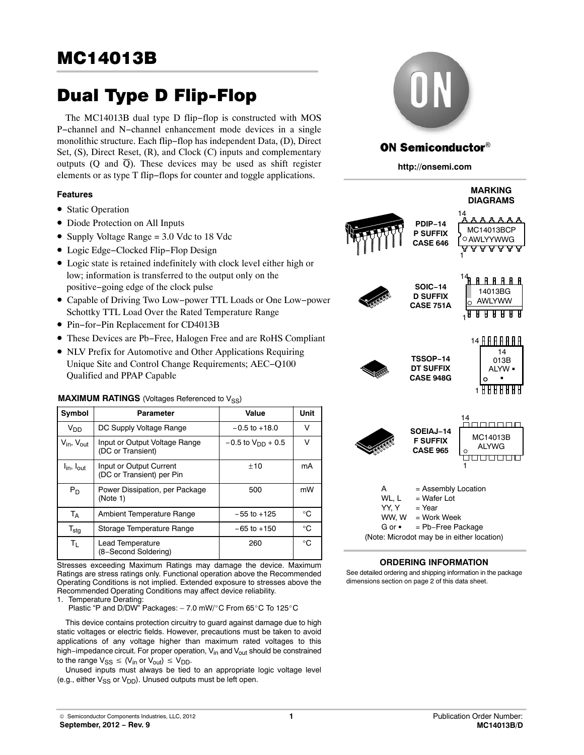# Dual Type D Flip-Flop

The MC14013B dual type D flip−flop is constructed with MOS P−channel and N−channel enhancement mode devices in a single monolithic structure. Each flip−flop has independent Data, (D), Direct Set, (S), Direct Reset, (R), and Clock (C) inputs and complementary outputs (Q and  $\overline{Q}$ ). These devices may be used as shift register elements or as type T flip−flops for counter and toggle applications.

#### **Features**

- Static Operation
- Diode Protection on All Inputs
- Supply Voltage Range = 3.0 Vdc to 18 Vdc
- Logic Edge−Clocked Flip−Flop Design
- Logic state is retained indefinitely with clock level either high or low; information is transferred to the output only on the positive−going edge of the clock pulse
- Capable of Driving Two Low−power TTL Loads or One Low−power Schottky TTL Load Over the Rated Temperature Range
- Pin−for−Pin Replacement for CD4013B
- These Devices are Pb−Free, Halogen Free and are RoHS Compliant
- NLV Prefix for Automotive and Other Applications Requiring Unique Site and Control Change Requirements; AEC−Q100 Qualified and PPAP Capable

## **MAXIMUM RATINGS** (Voltages Referenced to V<sub>SS</sub>)

| Symbol                             | Parameter                                            | Value                    | Unit        |
|------------------------------------|------------------------------------------------------|--------------------------|-------------|
| <b>V<sub>DD</sub></b>              | DC Supply Voltage Range                              | $-0.5$ to $+18.0$        | v           |
| $V_{\text{in}}$ , $V_{\text{out}}$ | Input or Output Voltage Range<br>(DC or Transient)   | $-0.5$ to $V_{DD}$ + 0.5 | v           |
| $I_{\text{in}}$ , $I_{\text{out}}$ | Input or Output Current<br>(DC or Transient) per Pin | ±10                      | mA          |
| $P_D$                              | Power Dissipation, per Package<br>(Note 1)           | 500                      | mW          |
| T <sub>A</sub>                     | Ambient Temperature Range                            | $-55$ to $+125$          | $^{\circ}C$ |
| $T_{\text{stg}}$                   | Storage Temperature Range                            | $-65$ to $+150$          | $^{\circ}C$ |
| $T_{L}$                            | Lead Temperature<br>(8-Second Soldering)             | 260                      | $^{\circ}C$ |

Stresses exceeding Maximum Ratings may damage the device. Maximum Ratings are stress ratings only. Functional operation above the Recommended Operating Conditions is not implied. Extended exposure to stresses above the Recommended Operating Conditions may affect device reliability.

1. Temperature Derating:

Plastic "P and D/DW" Packages: – 7.0 mW/-C From 65-C To 125-C

This device contains protection circuitry to guard against damage due to high static voltages or electric fields. However, precautions must be taken to avoid applications of any voltage higher than maximum rated voltages to this high−impedance circuit. For proper operation, V<sub>in</sub> and V<sub>out</sub> should be constrained to the range  $V_{SS} \leq (V_{in} \text{ or } V_{out}) \leq V_{DD}$ .

Unused inputs must always be tied to an appropriate logic voltage level (e.g., either  $V_{SS}$  or  $V_{DD}$ ). Unused outputs must be left open.



## **ON Semiconductor®**

**http://onsemi.com**



#### **ORDERING INFORMATION**

See detailed ordering and shipping information in the package dimensions section on page [2](#page-1-0) of this data sheet.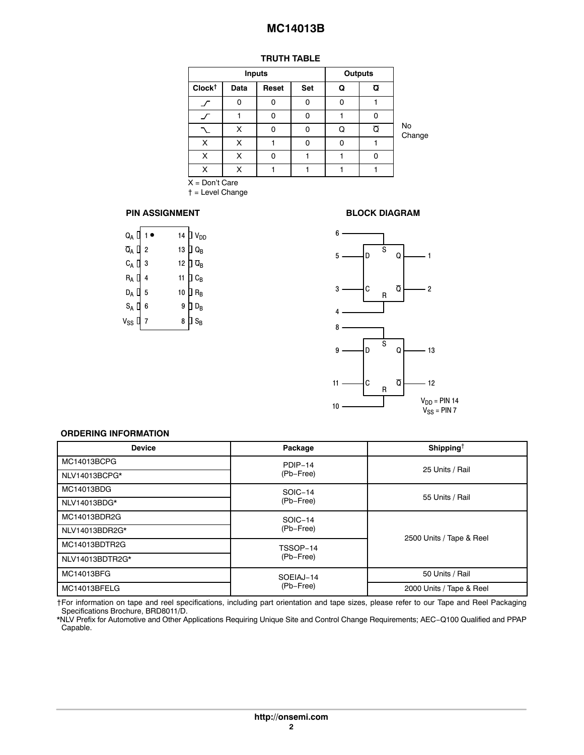## **TRUTH TABLE**

<span id="page-1-0"></span>

|                   |      | <b>Inputs</b> | <b>Outputs</b> |   |                         |              |
|-------------------|------|---------------|----------------|---|-------------------------|--------------|
| $Clock^{\dagger}$ | Data | Reset         | Set            | Q | $\overline{Q}$          |              |
|                   | 0    | O             | O              | 0 |                         |              |
|                   |      | 0             | O              |   | 0                       |              |
|                   | X    | O             | O              | Q | $\overline{\mathsf{O}}$ | No<br>Change |
| X                 | x    |               |                | 0 |                         |              |
| х                 | x    | n             |                |   | O                       |              |
| X                 | x    |               |                |   |                         |              |

X = Don't Care

† = Level Change

#### **PIN ASSIGNMENT**

| Q <sub>A</sub> [ |                |    | 14 $\Box$ $V_{DD}$                     |
|------------------|----------------|----|----------------------------------------|
| Q <sub>a</sub> [ | $\overline{2}$ | 13 | $\overline{\mathsf{D}}$ Q <sub>B</sub> |
| $C_A$ [          | 3              |    | 12 $\Box$ $\overline{Q}_B$             |
| R <sub>A</sub> [ | 4              | 11 | $\exists$ C <sub>B</sub>               |
| $D_A$ $L$        | 5              | 10 | $\overline{\mathsf{I}}$ R <sub>B</sub> |
| $S_A$ U          | 6              | 9  | $D_{\rm B}$                            |
| $v_{ss}$ L       | 7              | 8  | $\textsf{I}\textsf{S}_{\textsf{B}}$    |

#### **BLOCK DIAGRAM**



#### **ORDERING INFORMATION**

| <b>Device</b>   | Package   | Shipping <sup>+</sup>    |  |  |
|-----------------|-----------|--------------------------|--|--|
| MC14013BCPG     | PDIP-14   |                          |  |  |
| NLV14013BCPG*   | (Pb-Free) | 25 Units / Rail          |  |  |
| MC14013BDG      | SOIC-14   |                          |  |  |
| NLV14013BDG*    | (Pb-Free) | 55 Units / Rail          |  |  |
| MC14013BDR2G    | SOIC-14   |                          |  |  |
| NLV14013BDR2G*  | (Pb-Free) |                          |  |  |
| MC14013BDTR2G   | TSSOP-14  | 2500 Units / Tape & Reel |  |  |
| NLV14013BDTR2G* | (Pb-Free) |                          |  |  |
| MC14013BFG      | SOEIAJ-14 | 50 Units / Rail          |  |  |
| MC14013BFELG    | (Pb-Free) | 2000 Units / Tape & Reel |  |  |

†For information on tape and reel specifications, including part orientation and tape sizes, please refer to our Tape and Reel Packaging Specifications Brochure, BRD8011/D.

\*NLV Prefix for Automotive and Other Applications Requiring Unique Site and Control Change Requirements; AEC−Q100 Qualified and PPAP Capable.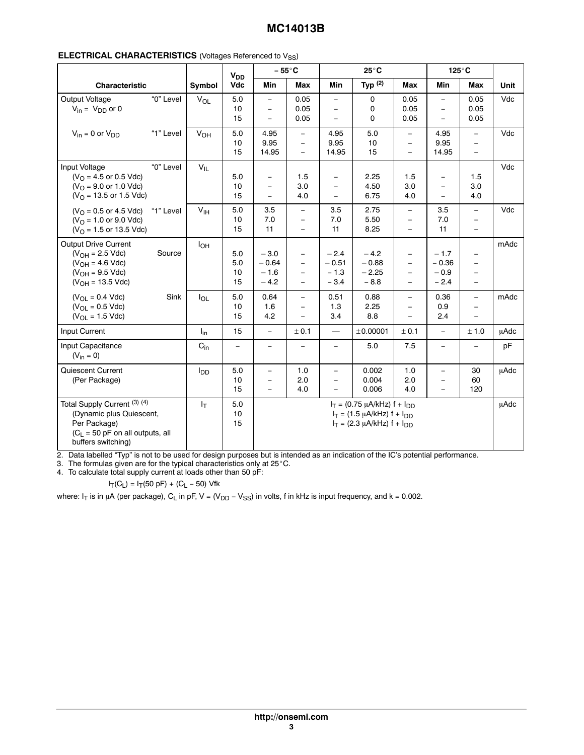| <b>CHARACTERISTICS</b> (Voltages Referenced to $V_{SS}$ )<br><b>ELECTRICAL</b> |
|--------------------------------------------------------------------------------|
|--------------------------------------------------------------------------------|

|                                                                                                                                      |           |                 | V <sub>DD</sub>        |                                                                  | $-55^{\circ}$ C                                  |                                                                  | $25^{\circ}$ C                                                                                                  |                                                                                              |                                                  | $125^\circ$ C                                                                                |      |
|--------------------------------------------------------------------------------------------------------------------------------------|-----------|-----------------|------------------------|------------------------------------------------------------------|--------------------------------------------------|------------------------------------------------------------------|-----------------------------------------------------------------------------------------------------------------|----------------------------------------------------------------------------------------------|--------------------------------------------------|----------------------------------------------------------------------------------------------|------|
| Characteristic                                                                                                                       |           | Symbol          | Vdc                    | Min                                                              | Max                                              | Min                                                              | Typ $(2)$                                                                                                       | Max                                                                                          | <b>Min</b>                                       | Max                                                                                          | Unit |
| Output Voltage<br>$V_{in} = V_{DD}$ or 0                                                                                             | "0" Level | $V_{OL}$        | 5.0<br>10<br>15        | $\equiv$<br>$\equiv$<br>$\equiv$                                 | 0.05<br>0.05<br>0.05                             | $\equiv$<br>$\equiv$<br>$\equiv$                                 | 0<br>0<br>$\mathbf{0}$                                                                                          | 0.05<br>0.05<br>0.05                                                                         | $\equiv$<br>$\equiv$<br>$\equiv$                 | 0.05<br>0.05<br>0.05                                                                         | Vdc  |
| $V_{in} = 0$ or $V_{DD}$                                                                                                             | "1" Level | V <sub>OH</sub> | 5.0<br>10<br>15        | 4.95<br>9.95<br>14.95                                            | $\overline{\phantom{a}}$<br>$\equiv$<br>$\equiv$ | 4.95<br>9.95<br>14.95                                            | 5.0<br>10<br>15                                                                                                 | $\overline{\phantom{a}}$<br>$\overline{\phantom{0}}$<br>$\equiv$                             | 4.95<br>9.95<br>14.95                            | $\overline{\phantom{a}}$<br>$-$<br>$\equiv$                                                  | Vdc  |
| Input Voltage<br>$(VO = 4.5$ or 0.5 Vdc)<br>$(VO = 9.0$ or 1.0 Vdc)<br>$(VO = 13.5$ or 1.5 Vdc)                                      | "0" Level | $V_{IL}$        | 5.0<br>10<br>15        | $\equiv$<br>$\overline{\phantom{a}}$<br>$\overline{\phantom{a}}$ | 1.5<br>3.0<br>4.0                                | $\overline{\phantom{0}}$<br>$\overline{\phantom{0}}$<br>$-$      | 2.25<br>4.50<br>6.75                                                                                            | 1.5<br>3.0<br>4.0                                                                            | $\overline{\phantom{m}}$<br>$\equiv$<br>$\equiv$ | 1.5<br>3.0<br>4.0                                                                            | Vdc  |
| $(VO = 0.5$ or 4.5 Vdc) "1" Level<br>$(VO = 1.0$ or 9.0 Vdc)<br>$(VO = 1.5$ or 13.5 Vdc)                                             |           | $V_{\text{IH}}$ | 5.0<br>10<br>15        | 3.5<br>7.0<br>11                                                 | $\equiv$<br>$\equiv$<br>$\equiv$                 | 3.5<br>7.0<br>11                                                 | 2.75<br>5.50<br>8.25                                                                                            | $\equiv$<br>$\equiv$<br>$\equiv$                                                             | 3.5<br>7.0<br>11                                 | $\overline{\phantom{a}}$<br>$\equiv$<br>$\overline{\phantom{0}}$                             | Vdc  |
| Output Drive Current<br>$(V_{OH} = 2.5$ Vdc)<br>$(V_{OH} = 4.6$ Vdc)<br>$(V_{OH} = 9.5$ Vdc)<br>$(V_{OH} = 13.5$ Vdc)                | Source    | $I_{OH}$        | 5.0<br>5.0<br>10<br>15 | $-3.0$<br>$-0.64$<br>$-1.6$<br>$-4.2$                            | $\equiv$<br>$\equiv$<br>$\equiv$<br>$\equiv$     | $-2.4$<br>$-0.51$<br>$-1.3$<br>$-3.4$                            | $-4.2$<br>$-0.88$<br>$-2.25$<br>$-8.8$                                                                          | $\overline{\phantom{a}}$<br>$\equiv$<br>$\overline{\phantom{a}}$<br>$\overline{\phantom{a}}$ | $-1.7$<br>$-0.36$<br>$-0.9$<br>$-2.4$            | $\overline{\phantom{m}}$<br>$\overline{\phantom{m}}$<br>$\equiv$<br>$\overline{\phantom{a}}$ | mAdc |
| $(V_{OL} = 0.4$ Vdc)<br>$(V_{OL} = 0.5$ Vdc)<br>$(V_{OL} = 1.5$ Vdc)                                                                 | Sink      | $I_{OL}$        | 5.0<br>10<br>15        | 0.64<br>1.6<br>4.2                                               | $\equiv$<br>$\equiv$<br>$\equiv$                 | 0.51<br>1.3<br>3.4                                               | 0.88<br>2.25<br>8.8                                                                                             | $\equiv$<br>$\overline{a}$<br>$\equiv$                                                       | 0.36<br>0.9<br>2.4                               | $\equiv$<br>$\overline{\phantom{0}}$<br>$\equiv$                                             | mAdc |
| Input Current                                                                                                                        |           | $I_{in}$        | 15                     | $\equiv$                                                         | ± 0.1                                            | $\overline{\phantom{m}}$                                         | ±0.00001                                                                                                        | ± 0.1                                                                                        | $\equiv$                                         | ± 1.0                                                                                        | μAdc |
| Input Capacitance<br>$(V_{in} = 0)$                                                                                                  |           | $C_{in}$        | $-$                    | $\equiv$                                                         | $\overline{\phantom{a}}$                         | $\equiv$                                                         | 5.0                                                                                                             | 7.5                                                                                          | $\equiv$                                         | $\overline{\phantom{0}}$                                                                     | pF   |
| Quiescent Current<br>(Per Package)                                                                                                   |           | $I_{DD}$        | 5.0<br>10<br>15        | $\equiv$<br>$\equiv$<br>$\equiv$                                 | 1.0<br>2.0<br>4.0                                | $\equiv$<br>$\overline{\phantom{0}}$<br>$\overline{\phantom{0}}$ | 0.002<br>0.004<br>0.006                                                                                         | 1.0<br>2.0<br>4.0                                                                            | $\equiv$<br>$\equiv$<br>$\equiv$                 | 30<br>60<br>120                                                                              | uAdc |
| Total Supply Current (3) (4)<br>(Dynamic plus Quiescent,<br>Per Package)<br>$(C_L = 50$ pF on all outputs, all<br>buffers switching) |           | $I_T$           | 5.0<br>10<br>15        |                                                                  |                                                  |                                                                  | $I_T = (0.75 \mu A/kHz) f + I_{DD}$<br>$I_T = (1.5 \mu A/kHz) f + I_{DD}$<br>$I_T = (2.3 \mu A/kHz) f + I_{DD}$ |                                                                                              |                                                  |                                                                                              | μAdc |

2. Data labelled "Typ" is not to be used for design purposes but is intended as an indication of the IC's potential performance.<br>3. The formulas given are for the typical characteristics only at 25°C.

4. To calculate total supply current at loads other than 50 pF:

$$
I_T(C_L) = I_T(50 pF) + (C_L - 50)
$$
 Vfk

where: I<sub>T</sub> is in µA (per package), C<sub>L</sub> in pF, V = (V<sub>DD</sub> – V<sub>SS</sub>) in volts, f in kHz is input frequency, and k = 0.002.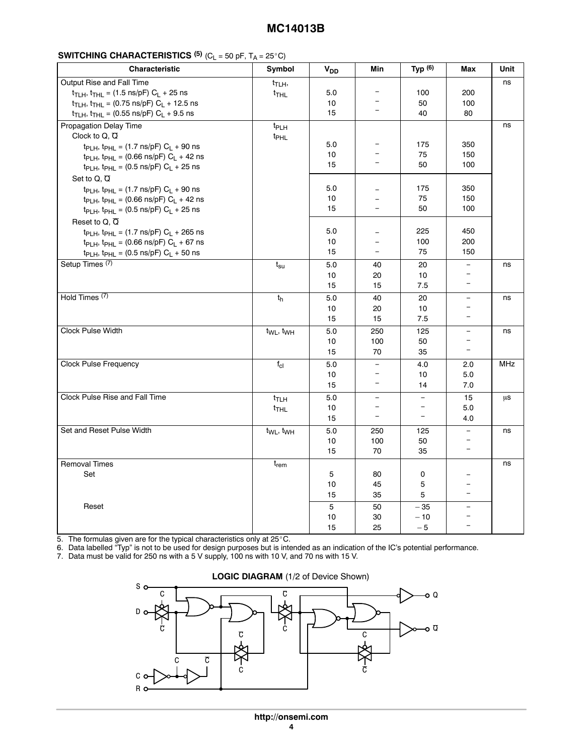#### $\frac{1}{1}$

| <b>Characteristic</b>                                                                  | Symbol                            | V <sub>DD</sub> | Min                                  | Typ $(6)$                | Max                      | Unit       |
|----------------------------------------------------------------------------------------|-----------------------------------|-----------------|--------------------------------------|--------------------------|--------------------------|------------|
| Output Rise and Fall Time                                                              | t <sub>TLH</sub> ,                |                 |                                      |                          |                          | ns         |
| $t_{TLH}$ , $t_{THL}$ = (1.5 ns/pF) $C_L$ + 25 ns                                      | $t$ <sub>THL</sub>                | 5.0             | $\overline{\phantom{a}}$             | 100                      | 200                      |            |
| $t_{TLH}$ , $t_{THL}$ = (0.75 ns/pF) $C_L$ + 12.5 ns                                   |                                   | 10              | $\qquad \qquad -$                    | 50                       | 100                      |            |
| $t_{TLH}$ , $t_{THL}$ = (0.55 ns/pF) $C_L$ + 9.5 ns                                    |                                   | 15              | $\overline{\phantom{m}}$             | 40                       | 80                       |            |
| Propagation Delay Time                                                                 | <sup>t</sup> PLH                  |                 |                                      |                          |                          | ns         |
| Clock to Q, $\overline{Q}$                                                             | t <sub>PHL</sub>                  |                 |                                      |                          |                          |            |
| $t_{\text{PLH}}$ , $t_{\text{PHL}} = (1.7 \text{ ns/pF}) C_{\text{L}} + 90 \text{ ns}$ |                                   | 5.0             | $\overline{\phantom{m}}$             | 175                      | 350                      |            |
| $tp_{LH}$ , $tp_{HL} = (0.66 \text{ ns/pF}) C_L + 42 \text{ ns}$                       |                                   | 10              | $\overline{\phantom{0}}$             | 75                       | 150                      |            |
| $t_{\text{PLH}}$ , $t_{\text{PHL}}$ = (0.5 ns/pF) $C_{\text{L}}$ + 25 ns               |                                   | 15              | $\overline{\phantom{m}}$             | 50                       | 100                      |            |
| Set to Q, $\overline{Q}$                                                               |                                   |                 |                                      |                          |                          |            |
| $t_{\text{PLH}}$ , $t_{\text{PHL}} = (1.7 \text{ ns/pF}) C_{\text{L}} + 90 \text{ ns}$ |                                   | 5.0             | $=$                                  | 175                      | 350                      |            |
| $tp_{LH}$ , $tp_{HL} = (0.66 \text{ ns/pF}) C_L + 42 \text{ ns}$                       |                                   | 10              | $\equiv$                             | 75                       | 150                      |            |
| $t_{\text{PLH}}$ , $t_{\text{PHL}}$ = (0.5 ns/pF) $C_{\text{L}}$ + 25 ns               |                                   | 15              | $\overline{\phantom{m}}$             | 50                       | 100                      |            |
| Reset to $Q, \overline{Q}$                                                             |                                   |                 |                                      |                          |                          |            |
|                                                                                        |                                   | 5.0             |                                      | 225                      | 450                      |            |
| t <sub>PLH</sub> , t <sub>PHL</sub> = (1.7 ns/pF) $C_L$ + 265 ns                       |                                   | 10              | $\equiv$<br>$\overline{\phantom{a}}$ | 100                      | 200                      |            |
| $t_{\text{PLH}}$ , $t_{\text{PHL}}$ = (0.66 ns/pF) $C_{\text{L}}$ + 67 ns              |                                   | 15              | $\overline{\phantom{a}}$             | 75                       | 150                      |            |
| $t_{\text{PLH}}$ , $t_{\text{PHL}}$ = (0.5 ns/pF) $C_{\text{L}}$ + 50 ns               |                                   |                 |                                      |                          |                          |            |
| Setup Times <sup>(7)</sup>                                                             | $t_{\rm su}$                      | 5.0             | 40                                   | 20                       | $\equiv$                 | ns         |
|                                                                                        |                                   | 10              | 20                                   | 10                       | $\overline{\phantom{m}}$ |            |
|                                                                                        |                                   | 15              | 15                                   | 7.5                      | $\equiv$                 |            |
| Hold Times <sup>(7)</sup>                                                              | $t_h$                             | 5.0             | 40                                   | 20                       | $\overline{\phantom{a}}$ | ns         |
|                                                                                        |                                   | 10              | 20                                   | 10                       | $\overline{\phantom{a}}$ |            |
|                                                                                        |                                   | 15              | 15                                   | 7.5                      | $\overline{\phantom{a}}$ |            |
| Clock Pulse Width                                                                      | t <sub>WL</sub> , t <sub>WH</sub> | 5.0             | 250                                  | 125                      | $\equiv$                 | ns         |
|                                                                                        |                                   | 10              | 100                                  | 50                       | $\overline{\phantom{a}}$ |            |
|                                                                                        |                                   | 15              | 70                                   | 35                       | $\equiv$                 |            |
| <b>Clock Pulse Frequency</b>                                                           | $f_{\text{cl}}$                   | 5.0             | $\overline{\phantom{a}}$             | 4.0                      | 2.0                      | <b>MHz</b> |
|                                                                                        |                                   | 10              | $\overline{\phantom{a}}$             | 10                       | 5.0                      |            |
|                                                                                        |                                   | 15              | $\overline{\phantom{a}}$             | 14                       | 7.0                      |            |
|                                                                                        |                                   |                 |                                      |                          |                          |            |
| Clock Pulse Rise and Fall Time                                                         | $t_{TLH}$                         | 5.0             | $\equiv$                             | $\equiv$                 | 15                       | μs         |
|                                                                                        | t <sub>THL</sub>                  | 10              | $\overline{\phantom{a}}$             | $\overline{\phantom{a}}$ | 5.0                      |            |
|                                                                                        |                                   | 15              | $\overline{\phantom{a}}$             | $\overline{\phantom{a}}$ | 4.0                      |            |
| Set and Reset Pulse Width                                                              | t <sub>WL</sub> , t <sub>WH</sub> | 5.0             | 250                                  | 125                      | $\equiv$                 | ns         |
|                                                                                        |                                   | 10              | 100                                  | 50                       | $\overline{\phantom{a}}$ |            |
|                                                                                        |                                   | 15              | 70                                   | 35                       | $\equiv$                 |            |
| <b>Removal Times</b>                                                                   | $t_{rem}$                         |                 |                                      |                          |                          | ns         |
| Set                                                                                    |                                   | 5               | 80                                   | 0                        | $\overline{\phantom{a}}$ |            |
|                                                                                        |                                   | 10              | 45                                   | $\mathbf 5$              | $\overline{\phantom{a}}$ |            |
|                                                                                        |                                   | 15              | 35                                   | 5                        | $\equiv$                 |            |
| Reset                                                                                  |                                   | $5\phantom{.0}$ | 50                                   | $-35$                    | $\overline{\phantom{a}}$ |            |
|                                                                                        |                                   | 10              |                                      | $-10$                    | $\overline{\phantom{a}}$ |            |
|                                                                                        |                                   |                 | 30                                   |                          | $\overline{\phantom{a}}$ |            |
| 5. The formulas given are for the typical characteristics only at 25°C.                |                                   | 15              | 25                                   | $-5$                     |                          |            |

6. Data labelled "Typ" is not to be used for design purposes but is intended as an indication of the IC's potential performance.

7. Data must be valid for 250 ns with a 5 V supply, 100 ns with 10 V, and 70 ns with 15 V.



#### **LOGIC DIAGRAM** (1/2 of Device Shown)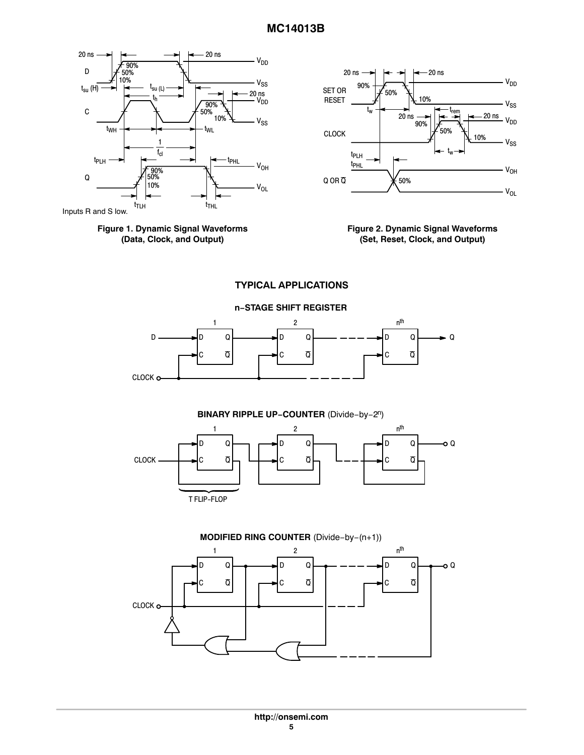



Inputs R and S low.





**TYPICAL APPLICATIONS**









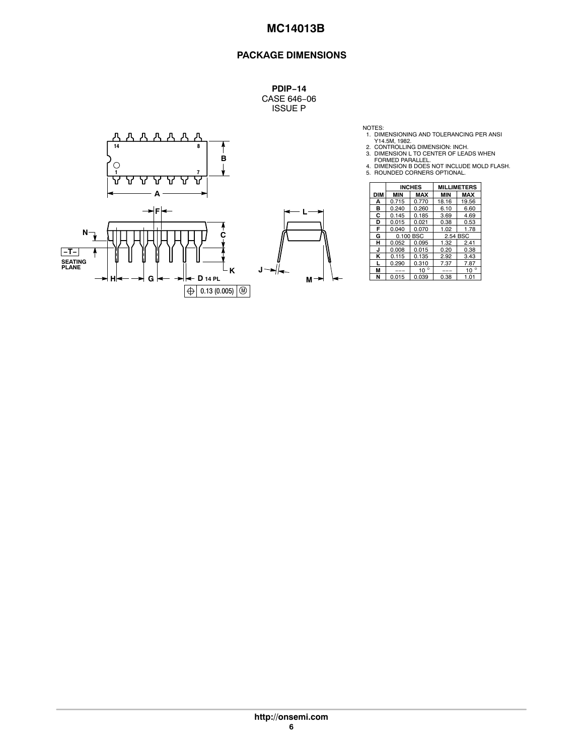## **PACKAGE DIMENSIONS**

**PDIP−14** CASE 646−06 ISSUE P



NOTES:<br>
1. DIMENSIONING AND TOLERANCING PER ANSI<br>
2. CONTROLLING DIMENSION: INCH.<br>
3. DIMENSION L TO CENTER OF LEADS WHEN<br>
4. DIMENSION B DOES NOT INCLUDE MOLD FLASH.<br>
4. DIMENSION B DOES NOT INCLUDE MOLD FLASH.<br>
5. ROUNDE

|   |            |            | <b>INCHES</b> | <b>MILLIMETERS</b> |              |  |
|---|------------|------------|---------------|--------------------|--------------|--|
|   | <b>DIM</b> | <b>MIN</b> | <b>MAX</b>    | <b>MIN</b>         | <b>MAX</b>   |  |
|   | А          | 0.715      | 0.770         | 18.16              | 19.56        |  |
|   | в          | 0.240      | 0.260         | 6.10               | 6.60         |  |
|   | С          | 0.145      | 0.185         | 3.69               | 4.69         |  |
|   | D          | 0.015      | 0.021         | 0.38               | 0.53         |  |
|   | F          | 0.040      | 0.070         | 1.02               | 1.78         |  |
|   | G          | 0.100 BSC  |               | 2.54 BSC           |              |  |
|   | н          | 0.052      | 0.095         | 1.32               | 2.41         |  |
|   | J          | 0.008      | 0.015         | 0.20               | 0.38         |  |
|   | κ          | 0.115      | 0.135         | 2.92               | 3.43         |  |
|   |            | 0.290      | 0.310         | 7.37               | 7.87         |  |
| J | М          | ---        | $10^{\circ}$  | ---                | $10^{\circ}$ |  |
| м | N          | 0.015      | 0.039         | 0.38               | 1.01         |  |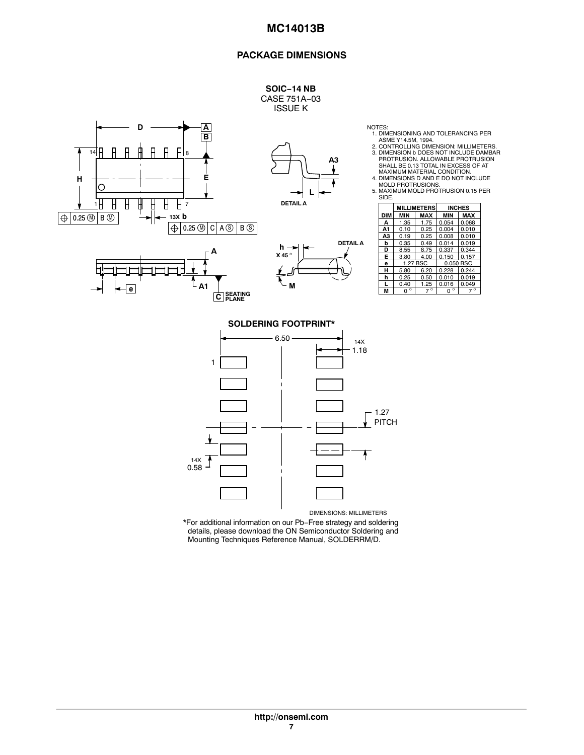#### **PACKAGE DIMENSIONS**



\*For additional information on our Pb−Free strategy and soldering details, please download the ON Semiconductor Soldering and Mounting Techniques Reference Manual, SOLDERRM/D.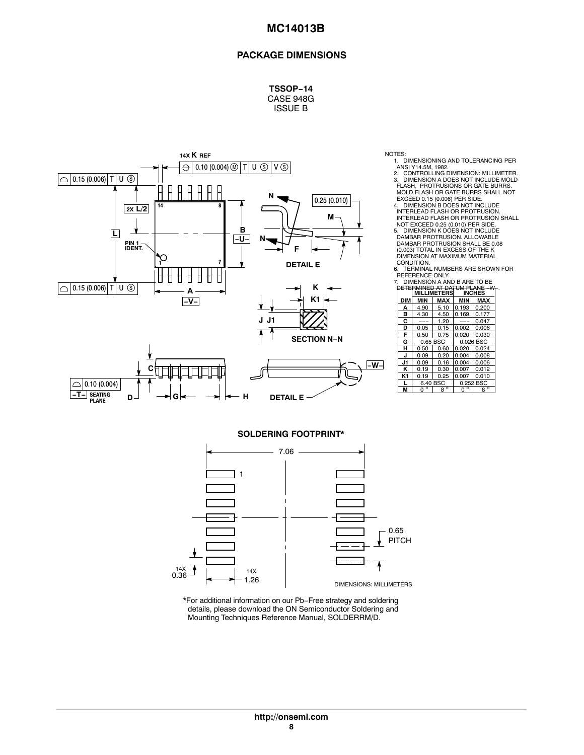## **PACKAGE DIMENSIONS**

**TSSOP−14** CASE 948G ISSUE B



NOTES:

1. DIMENSIONING AND TOLERANCING PER<br>ANSI Y14.5M, 1982.<br>2. CONTROLLING DIMENSION: MILLIMETER.<br>3. DIMENSION A DOES NOT INCLUDE MOLD<br>FLASH, PROTRUSIONS OR GATE BURRS.<br>MOLD FLASH OR GATE BURRS SHALL NOT

EXCEED 0.15 (0.006) PER SIDE. 4. DIMENSION B DOES NOT INCLUDE INTERLEAD FLASH OR PROTRUSION. INTERLEAD FLASH OR PROTRUSION SHALL NOT EXCEED 0.25 (0.010) PER SIDE.

5. DIMENSION K DOES NOT INCLUDE DAMBAR PROTRUSION. ALLOWABLE DAMBAR PROTRUSION SHALL BE 0.08 (0.003) TOTAL IN EXCESS OF THE K DIMENSION AT MAXIMUM MATERIAL CONDITION.

6. TERMINAL NUMBERS ARE SHOWN FOR REFERENCE ONLY.

|                    |            | DIMENSION A AND B ARE TO BE |                    |             |                                                 |
|--------------------|------------|-----------------------------|--------------------|-------------|-------------------------------------------------|
| Κ                  |            |                             | <b>MILLIMETERS</b> |             | DETERMINED AT DATUM PLANE -W-.<br><b>INCHES</b> |
| K <sub>1</sub>     | <b>DIM</b> | MIN                         | <b>MAX</b>         | <b>MIN</b>  | <b>MAX</b>                                      |
|                    | А          | 4.90                        | 5.10               | 0.193       | 0.200                                           |
|                    | в          | 4.30                        | 4.50               | 0.169       | 0.177                                           |
|                    | С          | ---                         | 1.20               | ---         | 0.047                                           |
|                    | D          | 0.05                        | 0.15               | 0.002       | 0.006                                           |
|                    | F          | 0.50                        | 0.75               | 0.020       | 0.030                                           |
| <b>SECTION N-N</b> | G          | 0.65 BSC                    |                    | 0.026 BSC   |                                                 |
|                    | н          | 0.50                        | 0.60               | 0.020       | 0.024                                           |
|                    | J          | 0.09                        | 0.20               | 0.004       | 0.008                                           |
| -w-l               | J1         | 0.09                        | 0.16               | 0.004       | 0.006                                           |
|                    | κ          | 0.19                        | 0.30               | 0.007       | 0.012                                           |
|                    | K1         | 0.19                        | 0.25               | 0.007       | 0.010                                           |
|                    |            | 6.40 BSC                    |                    |             | 0.252 BSC                                       |
|                    | M          | $\circ$<br>0                | $8^{\circ}$        | $0^{\circ}$ | $8^{\circ}$                                     |
| Е                  |            |                             |                    |             |                                                 |

**SOLDERING FOOTPRINT\***



\*For additional information on our Pb−Free strategy and soldering details, please download the ON Semiconductor Soldering and Mounting Techniques Reference Manual, SOLDERRM/D.